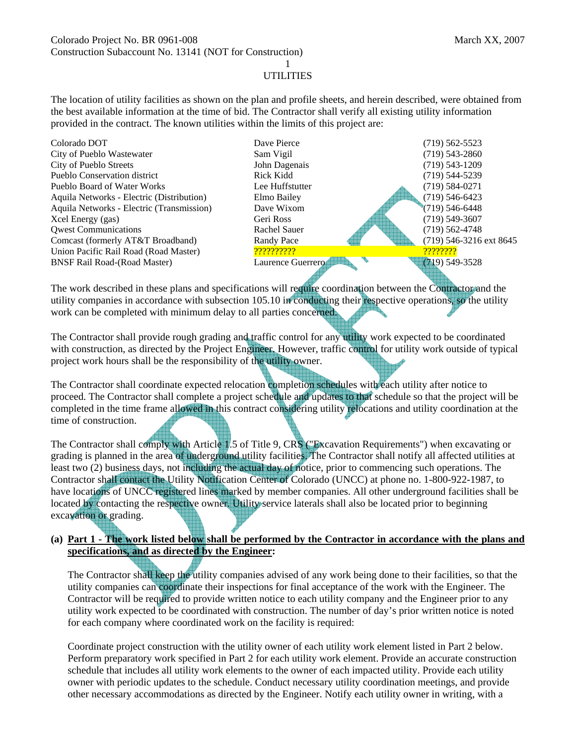#### Colorado Project No. BR 0961-008 March XX, 2007 Construction Subaccount No. 13141 (NOT for Construction)

1

## UTILITIES

The location of utility facilities as shown on the plan and profile sheets, and herein described, were obtained from the best available information at the time of bid. The Contractor shall verify all existing utility information provided in the contract. The known utilities within the limits of this project are:

| Dave Pierce       | $(719)$ 562-5523        |
|-------------------|-------------------------|
| Sam Vigil         | $(719)$ 543-2860        |
| John Dagenais     | $(719)$ 543-1209        |
| Rick Kidd         | $(719)$ 544-5239        |
| Lee Huffstutter   | $(719)$ 584-0271        |
| Elmo Bailey       | (719) 546-6423          |
| Dave Wixom        | $(719)$ 546-6448        |
| Geri Ross         | $(719)$ 549-3607        |
| Rachel Sauer      | $(719)$ 562-4748        |
| Randy Pace        | (719) 546-3216 ext 8645 |
| ??????????        | ????????                |
| Laurence Guerrero | $(719)$ 549-3528        |
|                   |                         |

The work described in these plans and specifications will require coordination between the Contractor and the utility companies in accordance with subsection 105.10 in conducting their respective operations, so the utility work can be completed with minimum delay to all parties concerned.

The Contractor shall provide rough grading and traffic control for any utility work expected to be coordinated with construction, as directed by the Project Engineer. However, traffic control for utility work outside of typical project work hours shall be the responsibility of the utility owner.

The Contractor shall coordinate expected relocation completion schedules with each utility after notice to proceed. The Contractor shall complete a project schedule and updates to that schedule so that the project will be completed in the time frame allowed in this contract considering utility relocations and utility coordination at the time of construction.

The Contractor shall comply with Article 1.5 of Title 9, CRS ("Excavation Requirements") when excavating or grading is planned in the area of underground utility facilities. The Contractor shall notify all affected utilities at least two (2) business days, not including the actual day of notice, prior to commencing such operations. The Contractor shall contact the Utility Notification Center of Colorado (UNCC) at phone no. 1-800-922-1987, to have locations of UNCC registered lines marked by member companies. All other underground facilities shall be located by contacting the respective owner. Utility service laterals shall also be located prior to beginning excavation or grading.

# **(a) Part 1 - The work listed below shall be performed by the Contractor in accordance with the plans and specifications, and as directed by the Engineer:**

The Contractor shall keep the utility companies advised of any work being done to their facilities, so that the utility companies can coordinate their inspections for final acceptance of the work with the Engineer. The Contractor will be required to provide written notice to each utility company and the Engineer prior to any utility work expected to be coordinated with construction. The number of day's prior written notice is noted for each company where coordinated work on the facility is required:

Coordinate project construction with the utility owner of each utility work element listed in Part 2 below. Perform preparatory work specified in Part 2 for each utility work element. Provide an accurate construction schedule that includes all utility work elements to the owner of each impacted utility. Provide each utility owner with periodic updates to the schedule. Conduct necessary utility coordination meetings, and provide other necessary accommodations as directed by the Engineer. Notify each utility owner in writing, with a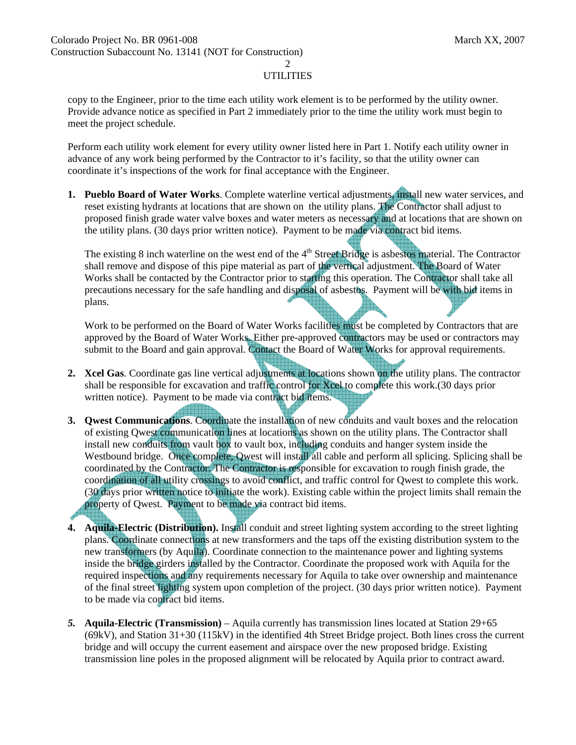2

### **UTILITIES**

copy to the Engineer, prior to the time each utility work element is to be performed by the utility owner. Provide advance notice as specified in Part 2 immediately prior to the time the utility work must begin to meet the project schedule.

Perform each utility work element for every utility owner listed here in Part 1. Notify each utility owner in advance of any work being performed by the Contractor to it's facility, so that the utility owner can coordinate it's inspections of the work for final acceptance with the Engineer.

**1. Pueblo Board of Water Works**. Complete waterline vertical adjustments, install new water services, and reset existing hydrants at locations that are shown on the utility plans. The Contractor shall adjust to proposed finish grade water valve boxes and water meters as necessary and at locations that are shown on the utility plans. (30 days prior written notice). Payment to be made via contract bid items.

The existing 8 inch waterline on the west end of the  $4<sup>th</sup>$  Street Bridge is asbestos material. The Contractor shall remove and dispose of this pipe material as part of the vertical adjustment. The Board of Water Works shall be contacted by the Contractor prior to starting this operation. The Contractor shall take all precautions necessary for the safe handling and disposal of asbestos. Payment will be with bid items in plans.

Work to be performed on the Board of Water Works facilities must be completed by Contractors that are approved by the Board of Water Works. Either pre-approved contractors may be used or contractors may submit to the Board and gain approval. Contact the Board of Water Works for approval requirements.

- **2. Xcel Gas**. Coordinate gas line vertical adjustments at locations shown on the utility plans. The contractor shall be responsible for excavation and traffic control for Xcel to complete this work.(30 days prior written notice). Payment to be made via contract bid items.
- **3. Qwest Communications**. Coordinate the installation of new conduits and vault boxes and the relocation of existing Qwest communication lines at locations as shown on the utility plans. The Contractor shall install new conduits from vault box to vault box, including conduits and hanger system inside the Westbound bridge. Once complete, Owest will install all cable and perform all splicing. Splicing shall be coordinated by the Contractor. The Contractor is responsible for excavation to rough finish grade, the coordination of all utility crossings to avoid conflict, and traffic control for Qwest to complete this work. (30 days prior written notice to initiate the work). Existing cable within the project limits shall remain the property of Owest. Payment to be made via contract bid items.
- **4. Aquila-Electric (Distribution).** Install conduit and street lighting system according to the street lighting plans. Coordinate connections at new transformers and the taps off the existing distribution system to the new transformers (by Aquila). Coordinate connection to the maintenance power and lighting systems inside the bridge girders installed by the Contractor. Coordinate the proposed work with Aquila for the required inspections and any requirements necessary for Aquila to take over ownership and maintenance of the final street lighting system upon completion of the project. (30 days prior written notice). Payment to be made via contract bid items.
- *5.* **Aquila-Electric (Transmission)** Aquila currently has transmission lines located at Station 29+65 (69kV), and Station 31+30 (115kV) in the identified 4th Street Bridge project. Both lines cross the current bridge and will occupy the current easement and airspace over the new proposed bridge. Existing transmission line poles in the proposed alignment will be relocated by Aquila prior to contract award.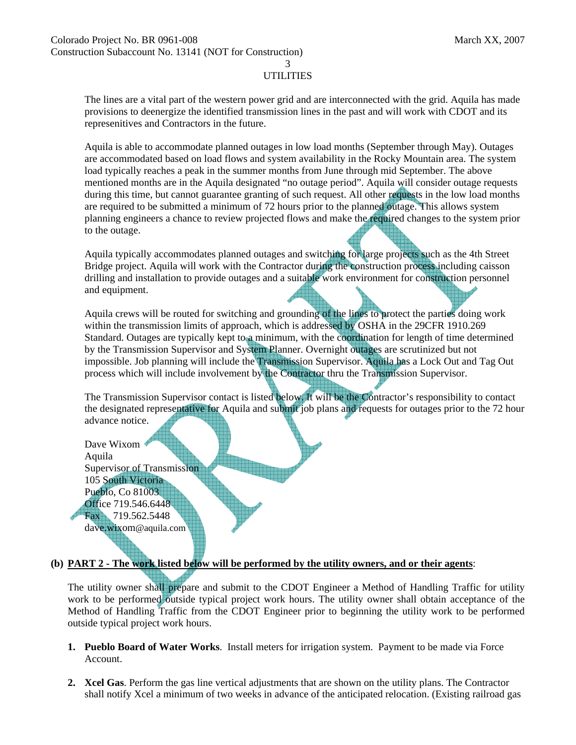3

#### **UTILITIES**

The lines are a vital part of the western power grid and are interconnected with the grid. Aquila has made provisions to deenergize the identified transmission lines in the past and will work with CDOT and its represenitives and Contractors in the future.

Aquila is able to accommodate planned outages in low load months (September through May). Outages are accommodated based on load flows and system availability in the Rocky Mountain area. The system load typically reaches a peak in the summer months from June through mid September. The above mentioned months are in the Aquila designated "no outage period". Aquila will consider outage requests during this time, but cannot guarantee granting of such request. All other requests in the low load months are required to be submitted a minimum of 72 hours prior to the planned outage. This allows system planning engineers a chance to review projected flows and make the required changes to the system prior to the outage.

Aquila typically accommodates planned outages and switching for large projects such as the 4th Street Bridge project. Aquila will work with the Contractor during the construction process including caisson drilling and installation to provide outages and a suitable work environment for construction personnel and equipment.

Aquila crews will be routed for switching and grounding of the lines to protect the parties doing work within the transmission limits of approach, which is addressed by OSHA in the 29CFR 1910.269 Standard. Outages are typically kept to a minimum, with the coordination for length of time determined by the Transmission Supervisor and System Planner. Overnight outages are scrutinized but not impossible. Job planning will include the Transmission Supervisor. Aquila has a Lock Out and Tag Out process which will include involvement by the Contractor thru the Transmission Supervisor.

The Transmission Supervisor contact is listed below. It will be the Contractor's responsibility to contact the designated representative for Aquila and submit job plans and requests for outages prior to the 72 hour advance notice.

Dave Wixom Aquila Supervisor of Transmission 105 South Victoria Pueblo, Co 81003 Office 719.546.6448 Fax 719.562.5448 dave.wixom@aquila.com

# **(b) PART 2 - The work listed below will be performed by the utility owners, and or their agents**:

The utility owner shall prepare and submit to the CDOT Engineer a Method of Handling Traffic for utility work to be performed outside typical project work hours. The utility owner shall obtain acceptance of the Method of Handling Traffic from the CDOT Engineer prior to beginning the utility work to be performed outside typical project work hours.

- **1. Pueblo Board of Water Works**. Install meters for irrigation system. Payment to be made via Force Account.
- **2. Xcel Gas**. Perform the gas line vertical adjustments that are shown on the utility plans. The Contractor shall notify Xcel a minimum of two weeks in advance of the anticipated relocation. (Existing railroad gas